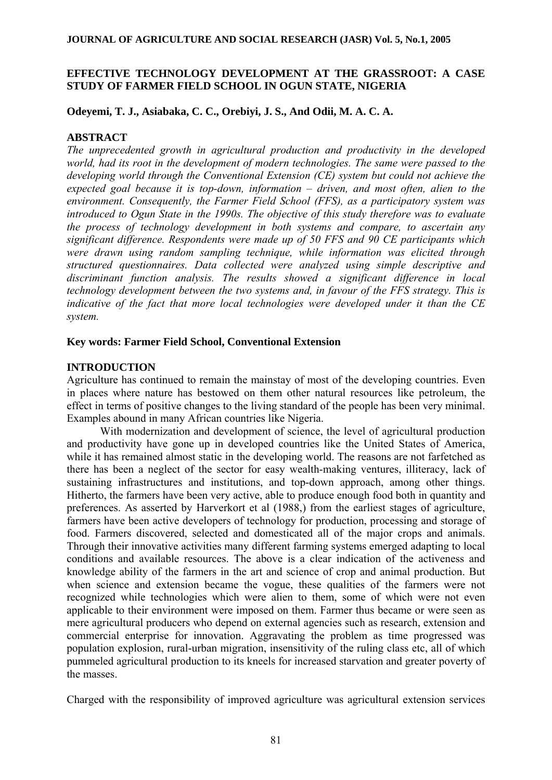## **EFFECTIVE TECHNOLOGY DEVELOPMENT AT THE GRASSROOT: A CASE STUDY OF FARMER FIELD SCHOOL IN OGUN STATE, NIGERIA**

# **Odeyemi, T. J., Asiabaka, C. C., Orebiyi, J. S., And Odii, M. A. C. A.**

## **ABSTRACT**

*The unprecedented growth in agricultural production and productivity in the developed world, had its root in the development of modern technologies. The same were passed to the developing world through the Conventional Extension (CE) system but could not achieve the expected goal because it is top-down, information – driven, and most often, alien to the environment. Consequently, the Farmer Field School (FFS), as a participatory system was introduced to Ogun State in the 1990s. The objective of this study therefore was to evaluate the process of technology development in both systems and compare, to ascertain any significant difference. Respondents were made up of 50 FFS and 90 CE participants which were drawn using random sampling technique, while information was elicited through structured questionnaires. Data collected were analyzed using simple descriptive and discriminant function analysis. The results showed a significant difference in local technology development between the two systems and, in favour of the FFS strategy. This is indicative of the fact that more local technologies were developed under it than the CE system.* 

## **Key words: Farmer Field School, Conventional Extension**

## **INTRODUCTION**

Agriculture has continued to remain the mainstay of most of the developing countries. Even in places where nature has bestowed on them other natural resources like petroleum, the effect in terms of positive changes to the living standard of the people has been very minimal. Examples abound in many African countries like Nigeria.

 With modernization and development of science, the level of agricultural production and productivity have gone up in developed countries like the United States of America, while it has remained almost static in the developing world. The reasons are not farfetched as there has been a neglect of the sector for easy wealth-making ventures, illiteracy, lack of sustaining infrastructures and institutions, and top-down approach, among other things. Hitherto, the farmers have been very active, able to produce enough food both in quantity and preferences. As asserted by Harverkort et al (1988,) from the earliest stages of agriculture, farmers have been active developers of technology for production, processing and storage of food. Farmers discovered, selected and domesticated all of the major crops and animals. Through their innovative activities many different farming systems emerged adapting to local conditions and available resources. The above is a clear indication of the activeness and knowledge ability of the farmers in the art and science of crop and animal production. But when science and extension became the vogue, these qualities of the farmers were not recognized while technologies which were alien to them, some of which were not even applicable to their environment were imposed on them. Farmer thus became or were seen as mere agricultural producers who depend on external agencies such as research, extension and commercial enterprise for innovation. Aggravating the problem as time progressed was population explosion, rural-urban migration, insensitivity of the ruling class etc, all of which pummeled agricultural production to its kneels for increased starvation and greater poverty of the masses.

Charged with the responsibility of improved agriculture was agricultural extension services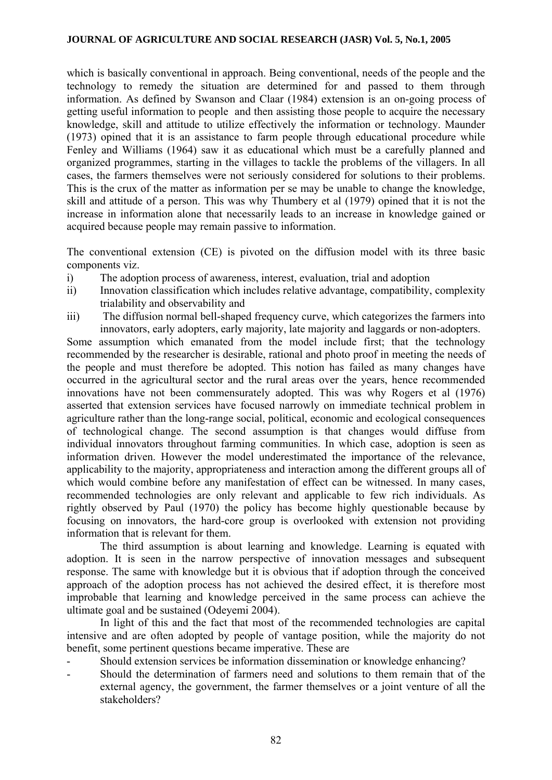which is basically conventional in approach. Being conventional, needs of the people and the technology to remedy the situation are determined for and passed to them through information. As defined by Swanson and Claar (1984) extension is an on-going process of getting useful information to people and then assisting those people to acquire the necessary knowledge, skill and attitude to utilize effectively the information or technology. Maunder (1973) opined that it is an assistance to farm people through educational procedure while Fenley and Williams (1964) saw it as educational which must be a carefully planned and organized programmes, starting in the villages to tackle the problems of the villagers. In all cases, the farmers themselves were not seriously considered for solutions to their problems. This is the crux of the matter as information per se may be unable to change the knowledge, skill and attitude of a person. This was why Thumbery et al (1979) opined that it is not the increase in information alone that necessarily leads to an increase in knowledge gained or acquired because people may remain passive to information.

The conventional extension (CE) is pivoted on the diffusion model with its three basic components viz.

- i) The adoption process of awareness, interest, evaluation, trial and adoption
- ii) Innovation classification which includes relative advantage, compatibility, complexity trialability and observability and
- iii) The diffusion normal bell-shaped frequency curve, which categorizes the farmers into innovators, early adopters, early majority, late majority and laggards or non-adopters.

Some assumption which emanated from the model include first; that the technology recommended by the researcher is desirable, rational and photo proof in meeting the needs of the people and must therefore be adopted. This notion has failed as many changes have occurred in the agricultural sector and the rural areas over the years, hence recommended innovations have not been commensurately adopted. This was why Rogers et al (1976) asserted that extension services have focused narrowly on immediate technical problem in agriculture rather than the long-range social, political, economic and ecological consequences of technological change. The second assumption is that changes would diffuse from individual innovators throughout farming communities. In which case, adoption is seen as information driven. However the model underestimated the importance of the relevance, applicability to the majority, appropriateness and interaction among the different groups all of which would combine before any manifestation of effect can be witnessed. In many cases, recommended technologies are only relevant and applicable to few rich individuals. As rightly observed by Paul (1970) the policy has become highly questionable because by focusing on innovators, the hard-core group is overlooked with extension not providing information that is relevant for them.

 The third assumption is about learning and knowledge. Learning is equated with adoption. It is seen in the narrow perspective of innovation messages and subsequent response. The same with knowledge but it is obvious that if adoption through the conceived approach of the adoption process has not achieved the desired effect, it is therefore most improbable that learning and knowledge perceived in the same process can achieve the ultimate goal and be sustained (Odeyemi 2004).

In light of this and the fact that most of the recommended technologies are capital intensive and are often adopted by people of vantage position, while the majority do not benefit, some pertinent questions became imperative. These are

- Should extension services be information dissemination or knowledge enhancing?
- Should the determination of farmers need and solutions to them remain that of the external agency, the government, the farmer themselves or a joint venture of all the stakeholders?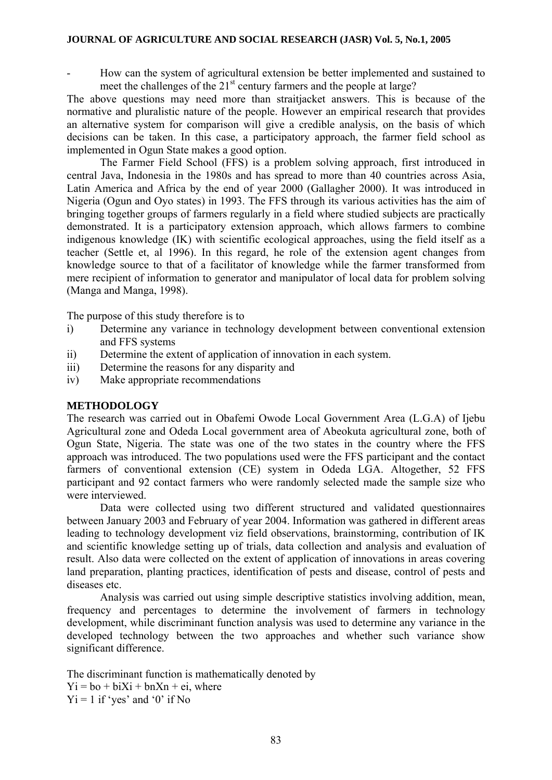- How can the system of agricultural extension be better implemented and sustained to meet the challenges of the  $21<sup>st</sup>$  century farmers and the people at large?

The above questions may need more than straitjacket answers. This is because of the normative and pluralistic nature of the people. However an empirical research that provides an alternative system for comparison will give a credible analysis, on the basis of which decisions can be taken. In this case, a participatory approach, the farmer field school as implemented in Ogun State makes a good option.

The Farmer Field School (FFS) is a problem solving approach, first introduced in central Java, Indonesia in the 1980s and has spread to more than 40 countries across Asia, Latin America and Africa by the end of year 2000 (Gallagher 2000). It was introduced in Nigeria (Ogun and Oyo states) in 1993. The FFS through its various activities has the aim of bringing together groups of farmers regularly in a field where studied subjects are practically demonstrated. It is a participatory extension approach, which allows farmers to combine indigenous knowledge (IK) with scientific ecological approaches, using the field itself as a teacher (Settle et, al 1996). In this regard, he role of the extension agent changes from knowledge source to that of a facilitator of knowledge while the farmer transformed from mere recipient of information to generator and manipulator of local data for problem solving (Manga and Manga, 1998).

The purpose of this study therefore is to

- i) Determine any variance in technology development between conventional extension and FFS systems
- ii) Determine the extent of application of innovation in each system.
- iii) Determine the reasons for any disparity and
- iv) Make appropriate recommendations

## **METHODOLOGY**

The research was carried out in Obafemi Owode Local Government Area (L.G.A) of Ijebu Agricultural zone and Odeda Local government area of Abeokuta agricultural zone, both of Ogun State, Nigeria. The state was one of the two states in the country where the FFS approach was introduced. The two populations used were the FFS participant and the contact farmers of conventional extension (CE) system in Odeda LGA. Altogether, 52 FFS participant and 92 contact farmers who were randomly selected made the sample size who were interviewed.

 Data were collected using two different structured and validated questionnaires between January 2003 and February of year 2004. Information was gathered in different areas leading to technology development viz field observations, brainstorming, contribution of IK and scientific knowledge setting up of trials, data collection and analysis and evaluation of result. Also data were collected on the extent of application of innovations in areas covering land preparation, planting practices, identification of pests and disease, control of pests and diseases etc.

Analysis was carried out using simple descriptive statistics involving addition, mean, frequency and percentages to determine the involvement of farmers in technology development, while discriminant function analysis was used to determine any variance in the developed technology between the two approaches and whether such variance show significant difference.

The discriminant function is mathematically denoted by  $Yi = bo + biXi + bnXn + ei$ , where  $Yi = 1$  if 'yes' and '0' if No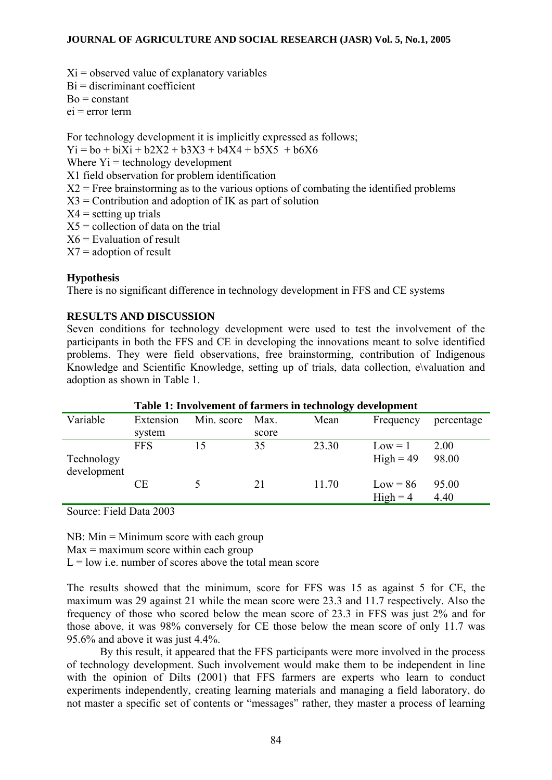$Xi$  = observed value of explanatory variables

 $Bi =$  discriminant coefficient

 $Bo = constant$ 

 $ei = error term$ 

For technology development it is implicitly expressed as follows;  $Yi = bo + biXi + b2X2 + b3X3 + b4X4 + b5X5 + b6X6$ Where  $yi = technology development$ X1 field observation for problem identification  $X2$  = Free brainstorming as to the various options of combating the identified problems  $X3 =$  Contribution and adoption of IK as part of solution  $X4$  = setting up trials  $X5$  = collection of data on the trial  $X6$  = Evaluation of result  $X7$  = adoption of result

## **Hypothesis**

There is no significant difference in technology development in FFS and CE systems

## **RESULTS AND DISCUSSION**

Seven conditions for technology development were used to test the involvement of the participants in both the FFS and CE in developing the innovations meant to solve identified problems. They were field observations, free brainstorming, contribution of Indigenous Knowledge and Scientific Knowledge, setting up of trials, data collection, e\valuation and adoption as shown in Table 1.

| Table 1: Involvement of farmers in technology development |            |            |       |       |                          |               |
|-----------------------------------------------------------|------------|------------|-------|-------|--------------------------|---------------|
| Variable                                                  | Extension  | Min. score | Max.  | Mean  | Frequency                | percentage    |
|                                                           | system     |            | score |       |                          |               |
|                                                           | <b>FFS</b> | 15         | 35    | 23.30 | $Low = 1$<br>$High = 49$ | 2.00<br>98.00 |
| Technology<br>development                                 |            |            |       |       |                          |               |
|                                                           | СE         |            | 21    | 11.70 | $Low = 86$               | 95.00         |
|                                                           |            |            |       |       | $High = 4$               | 4.40          |

**Table 1: Involvement of farmers in technology development** 

Source: Field Data 2003

 $NB: Min = Minimum score with each group$  $Max =$  maximum score within each group  $L = low$  i.e. number of scores above the total mean score

The results showed that the minimum, score for FFS was 15 as against 5 for CE, the maximum was 29 against 21 while the mean score were 23.3 and 11.7 respectively. Also the frequency of those who scored below the mean score of 23.3 in FFS was just 2% and for those above, it was 98% conversely for CE those below the mean score of only 11.7 was 95.6% and above it was just 4.4%.

By this result, it appeared that the FFS participants were more involved in the process of technology development. Such involvement would make them to be independent in line with the opinion of Dilts (2001) that FFS farmers are experts who learn to conduct experiments independently, creating learning materials and managing a field laboratory, do not master a specific set of contents or "messages" rather, they master a process of learning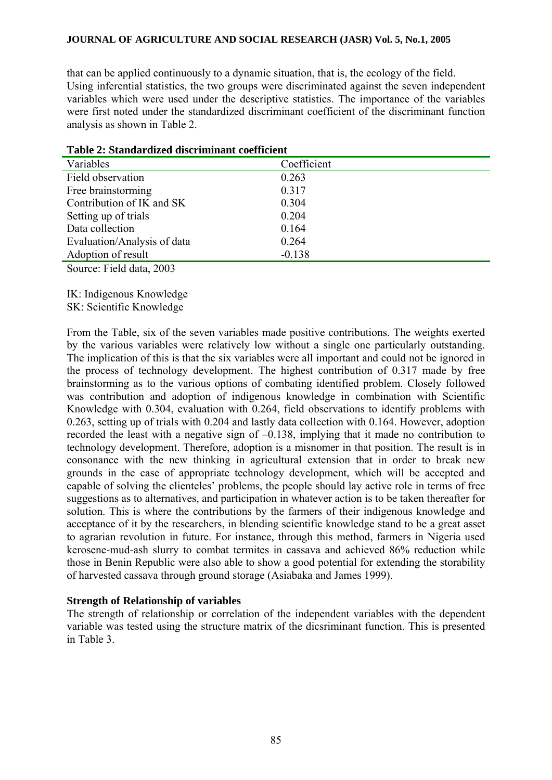that can be applied continuously to a dynamic situation, that is, the ecology of the field. Using inferential statistics, the two groups were discriminated against the seven independent variables which were used under the descriptive statistics. The importance of the variables were first noted under the standardized discriminant coefficient of the discriminant function analysis as shown in Table 2.

| Table 21 Danmar uized uiberminingin coemercin |             |
|-----------------------------------------------|-------------|
| Variables                                     | Coefficient |
| Field observation                             | 0.263       |
| Free brainstorming                            | 0.317       |
| Contribution of IK and SK                     | 0.304       |
| Setting up of trials                          | 0.204       |
| Data collection                               | 0.164       |
| Evaluation/Analysis of data                   | 0.264       |
| Adoption of result                            | $-0.138$    |
|                                               |             |

|  | Table 2: Standardized discriminant coefficient |
|--|------------------------------------------------|
|--|------------------------------------------------|

Source: Field data, 2003

IK: Indigenous Knowledge SK: Scientific Knowledge

From the Table, six of the seven variables made positive contributions. The weights exerted by the various variables were relatively low without a single one particularly outstanding. The implication of this is that the six variables were all important and could not be ignored in the process of technology development. The highest contribution of 0.317 made by free brainstorming as to the various options of combating identified problem. Closely followed was contribution and adoption of indigenous knowledge in combination with Scientific Knowledge with 0.304, evaluation with 0.264, field observations to identify problems with 0.263, setting up of trials with 0.204 and lastly data collection with 0.164. However, adoption recorded the least with a negative sign of –0.138, implying that it made no contribution to technology development. Therefore, adoption is a misnomer in that position. The result is in consonance with the new thinking in agricultural extension that in order to break new grounds in the case of appropriate technology development, which will be accepted and capable of solving the clienteles' problems, the people should lay active role in terms of free suggestions as to alternatives, and participation in whatever action is to be taken thereafter for solution. This is where the contributions by the farmers of their indigenous knowledge and acceptance of it by the researchers, in blending scientific knowledge stand to be a great asset to agrarian revolution in future. For instance, through this method, farmers in Nigeria used kerosene-mud-ash slurry to combat termites in cassava and achieved 86% reduction while those in Benin Republic were also able to show a good potential for extending the storability of harvested cassava through ground storage (Asiabaka and James 1999).

## **Strength of Relationship of variables**

The strength of relationship or correlation of the independent variables with the dependent variable was tested using the structure matrix of the dicsriminant function. This is presented in Table 3.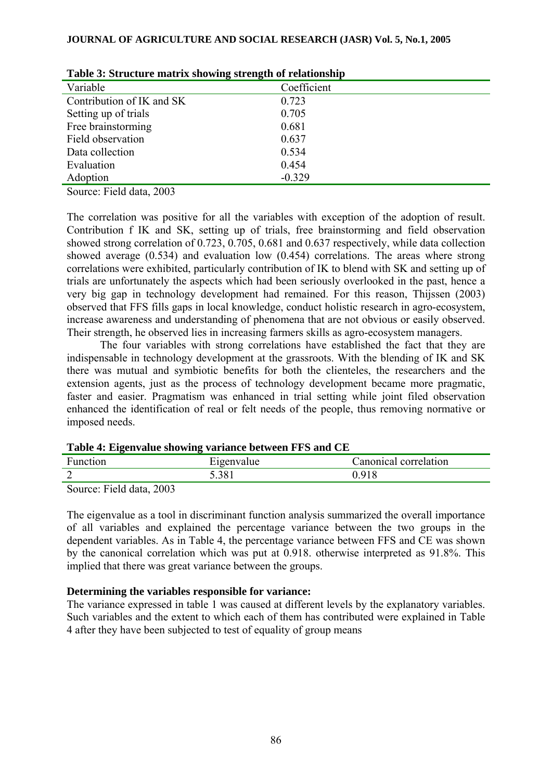| Coefficient<br>Variable       | $\sim$ while the value of the vertex and $\sim$ and $\sim$ and $\sim$ and $\sim$ and $\sim$ and $\sim$ and $\sim$ |       |  |  |  |
|-------------------------------|-------------------------------------------------------------------------------------------------------------------|-------|--|--|--|
|                               |                                                                                                                   |       |  |  |  |
|                               | Contribution of IK and SK                                                                                         | 0.723 |  |  |  |
| Setting up of trials<br>0.705 |                                                                                                                   |       |  |  |  |
| Free brainstorming<br>0.681   |                                                                                                                   |       |  |  |  |
| Field observation<br>0.637    |                                                                                                                   |       |  |  |  |
| Data collection<br>0.534      |                                                                                                                   |       |  |  |  |
| 0.454<br>Evaluation           |                                                                                                                   |       |  |  |  |
| $-0.329$<br>Adoption          |                                                                                                                   |       |  |  |  |

| Table 3: Structure matrix showing strength of relationship |
|------------------------------------------------------------|
|------------------------------------------------------------|

Source: Field data, 2003

The correlation was positive for all the variables with exception of the adoption of result. Contribution f IK and SK, setting up of trials, free brainstorming and field observation showed strong correlation of 0.723, 0.705, 0.681 and 0.637 respectively, while data collection showed average (0.534) and evaluation low (0.454) correlations. The areas where strong correlations were exhibited, particularly contribution of IK to blend with SK and setting up of trials are unfortunately the aspects which had been seriously overlooked in the past, hence a very big gap in technology development had remained. For this reason, Thijssen (2003) observed that FFS fills gaps in local knowledge, conduct holistic research in agro-ecosystem, increase awareness and understanding of phenomena that are not obvious or easily observed. Their strength, he observed lies in increasing farmers skills as agro-ecosystem managers.

 The four variables with strong correlations have established the fact that they are indispensable in technology development at the grassroots. With the blending of IK and SK there was mutual and symbiotic benefits for both the clienteles, the researchers and the extension agents, just as the process of technology development became more pragmatic, faster and easier. Pragmatism was enhanced in trial setting while joint filed observation enhanced the identification of real or felt needs of the people, thus removing normative or imposed needs.

| Table 4: Eigenvalue showing variance between FFS and CE |  |  |  |
|---------------------------------------------------------|--|--|--|
|                                                         |  |  |  |

| Function | Eigenvalue | Canonical correlation |
|----------|------------|-----------------------|
|          | 5 381      |                       |
|          |            |                       |

Source: Field data, 2003

The eigenvalue as a tool in discriminant function analysis summarized the overall importance of all variables and explained the percentage variance between the two groups in the dependent variables. As in Table 4, the percentage variance between FFS and CE was shown by the canonical correlation which was put at 0.918. otherwise interpreted as 91.8%. This implied that there was great variance between the groups.

# **Determining the variables responsible for variance:**

The variance expressed in table 1 was caused at different levels by the explanatory variables. Such variables and the extent to which each of them has contributed were explained in Table 4 after they have been subjected to test of equality of group means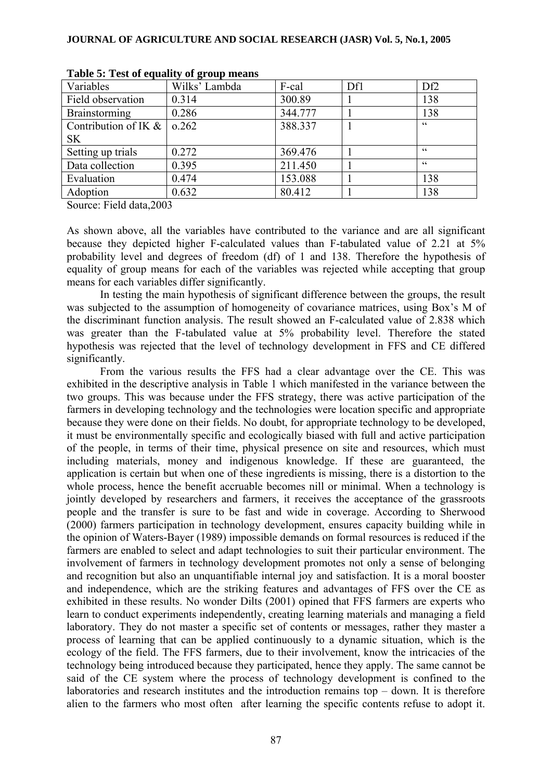| Variables               | Wilks' Lambda | F-cal   | Df1 | Df <sub>2</sub> |
|-------------------------|---------------|---------|-----|-----------------|
| Field observation       | 0.314         | 300.89  |     | 138             |
| <b>Brainstorming</b>    | 0.286         | 344.777 |     | 138             |
| Contribution of IK $\&$ | 0.262         | 388.337 |     | cc              |
| <b>SK</b>               |               |         |     |                 |
| Setting up trials       | 0.272         | 369.476 |     | $\epsilon$      |
| Data collection         | 0.395         | 211.450 |     | C               |
| Evaluation              | 0.474         | 153.088 |     | 138             |
| Adoption                | 0.632         | 80.412  |     | 138             |

Source: Field data,2003

As shown above, all the variables have contributed to the variance and are all significant because they depicted higher F-calculated values than F-tabulated value of 2.21 at 5% probability level and degrees of freedom (df) of 1 and 138. Therefore the hypothesis of equality of group means for each of the variables was rejected while accepting that group means for each variables differ significantly.

 In testing the main hypothesis of significant difference between the groups, the result was subjected to the assumption of homogeneity of covariance matrices, using Box's M of the discriminant function analysis. The result showed an F-calculated value of 2.838 which was greater than the F-tabulated value at 5% probability level. Therefore the stated hypothesis was rejected that the level of technology development in FFS and CE differed significantly.

 From the various results the FFS had a clear advantage over the CE. This was exhibited in the descriptive analysis in Table 1 which manifested in the variance between the two groups. This was because under the FFS strategy, there was active participation of the farmers in developing technology and the technologies were location specific and appropriate because they were done on their fields. No doubt, for appropriate technology to be developed, it must be environmentally specific and ecologically biased with full and active participation of the people, in terms of their time, physical presence on site and resources, which must including materials, money and indigenous knowledge. If these are guaranteed, the application is certain but when one of these ingredients is missing, there is a distortion to the whole process, hence the benefit accruable becomes nill or minimal. When a technology is jointly developed by researchers and farmers, it receives the acceptance of the grassroots people and the transfer is sure to be fast and wide in coverage. According to Sherwood (2000) farmers participation in technology development, ensures capacity building while in the opinion of Waters-Bayer (1989) impossible demands on formal resources is reduced if the farmers are enabled to select and adapt technologies to suit their particular environment. The involvement of farmers in technology development promotes not only a sense of belonging and recognition but also an unquantifiable internal joy and satisfaction. It is a moral booster and independence, which are the striking features and advantages of FFS over the CE as exhibited in these results. No wonder Dilts (2001) opined that FFS farmers are experts who learn to conduct experiments independently, creating learning materials and managing a field laboratory. They do not master a specific set of contents or messages, rather they master a process of learning that can be applied continuously to a dynamic situation, which is the ecology of the field. The FFS farmers, due to their involvement, know the intricacies of the technology being introduced because they participated, hence they apply. The same cannot be said of the CE system where the process of technology development is confined to the laboratories and research institutes and the introduction remains top – down. It is therefore alien to the farmers who most often after learning the specific contents refuse to adopt it.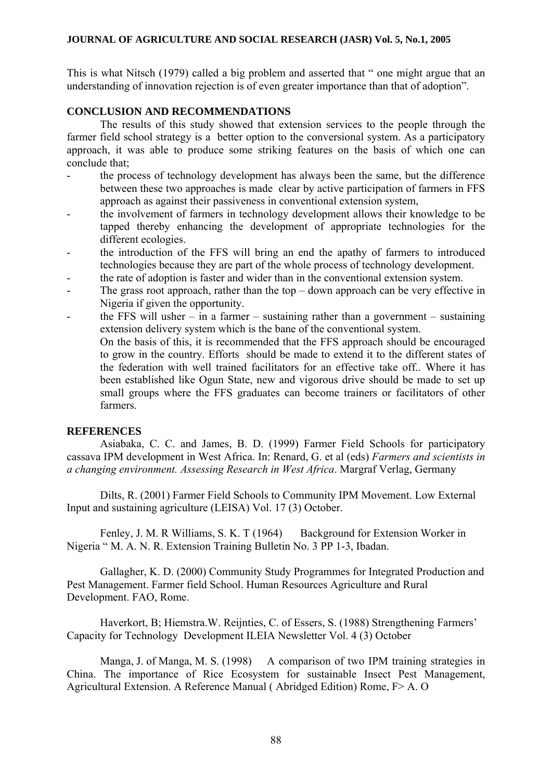This is what Nitsch (1979) called a big problem and asserted that " one might argue that an understanding of innovation rejection is of even greater importance than that of adoption".

## **CONCLUSION AND RECOMMENDATIONS**

 The results of this study showed that extension services to the people through the farmer field school strategy is a better option to the conversional system. As a participatory approach, it was able to produce some striking features on the basis of which one can conclude that;

- the process of technology development has always been the same, but the difference between these two approaches is made clear by active participation of farmers in FFS approach as against their passiveness in conventional extension system,
- the involvement of farmers in technology development allows their knowledge to be tapped thereby enhancing the development of appropriate technologies for the different ecologies.
- the introduction of the FFS will bring an end the apathy of farmers to introduced technologies because they are part of the whole process of technology development.
- the rate of adoption is faster and wider than in the conventional extension system.
- The grass root approach, rather than the top down approach can be very effective in Nigeria if given the opportunity.
- the FFS will usher in a farmer sustaining rather than a government sustaining extension delivery system which is the bane of the conventional system.

On the basis of this, it is recommended that the FFS approach should be encouraged to grow in the country. Efforts should be made to extend it to the different states of the federation with well trained facilitators for an effective take off.. Where it has been established like Ogun State, new and vigorous drive should be made to set up small groups where the FFS graduates can become trainers or facilitators of other farmers.

## **REFERENCES**

Asiabaka, C. C. and James, B. D. (1999) Farmer Field Schools for participatory cassava IPM development in West Africa. In: Renard, G. et al (eds) *Farmers and scientists in a changing environment. Assessing Research in West Africa*. Margraf Verlag, Germany

Dilts, R. (2001) Farmer Field Schools to Community IPM Movement. Low External Input and sustaining agriculture (LEISA) Vol. 17 (3) October.

Fenley, J. M. R. Williams, S. K. T (1964) Background for Extension Worker in Nigeria " M. A. N. R. Extension Training Bulletin No. 3 PP 1-3, Ibadan.

Gallagher, K. D. (2000) Community Study Programmes for Integrated Production and Pest Management. Farmer field School. Human Resources Agriculture and Rural Development. FAO, Rome.

Haverkort, B; Hiemstra.W. Reijnties, C. of Essers, S. (1988) Strengthening Farmers' Capacity for Technology Development ILEIA Newsletter Vol. 4 (3) October

Manga, J. of Manga, M. S. (1998) A comparison of two IPM training strategies in China. The importance of Rice Ecosystem for sustainable Insect Pest Management, Agricultural Extension. A Reference Manual ( Abridged Edition) Rome, F> A. O